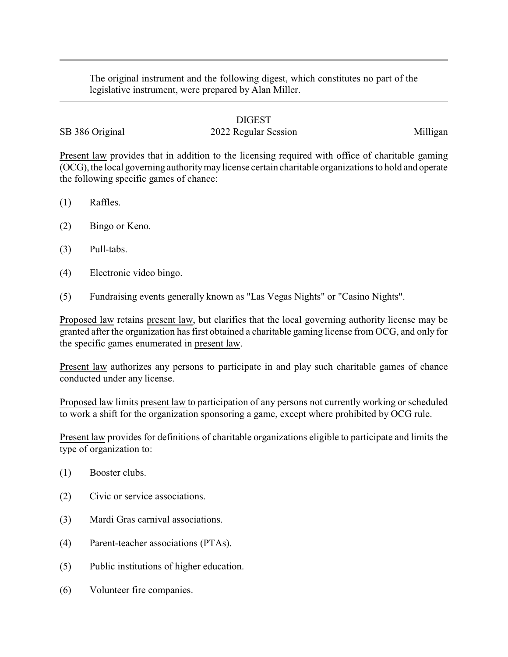The original instrument and the following digest, which constitutes no part of the legislative instrument, were prepared by Alan Miller.

## DIGEST

## SB 386 Original 2022 Regular Session Milligan

Present law provides that in addition to the licensing required with office of charitable gaming (OCG), the local governing authoritymaylicense certain charitable organizations to hold and operate the following specific games of chance:

- (1) Raffles.
- (2) Bingo or Keno.
- (3) Pull-tabs.
- (4) Electronic video bingo.
- (5) Fundraising events generally known as "Las Vegas Nights" or "Casino Nights".

Proposed law retains present law, but clarifies that the local governing authority license may be granted after the organization has first obtained a charitable gaming license from OCG, and only for the specific games enumerated in present law.

Present law authorizes any persons to participate in and play such charitable games of chance conducted under any license.

Proposed law limits present law to participation of any persons not currently working or scheduled to work a shift for the organization sponsoring a game, except where prohibited by OCG rule.

Present law provides for definitions of charitable organizations eligible to participate and limits the type of organization to:

- (1) Booster clubs.
- (2) Civic or service associations.
- (3) Mardi Gras carnival associations.
- (4) Parent-teacher associations (PTAs).
- (5) Public institutions of higher education.
- (6) Volunteer fire companies.